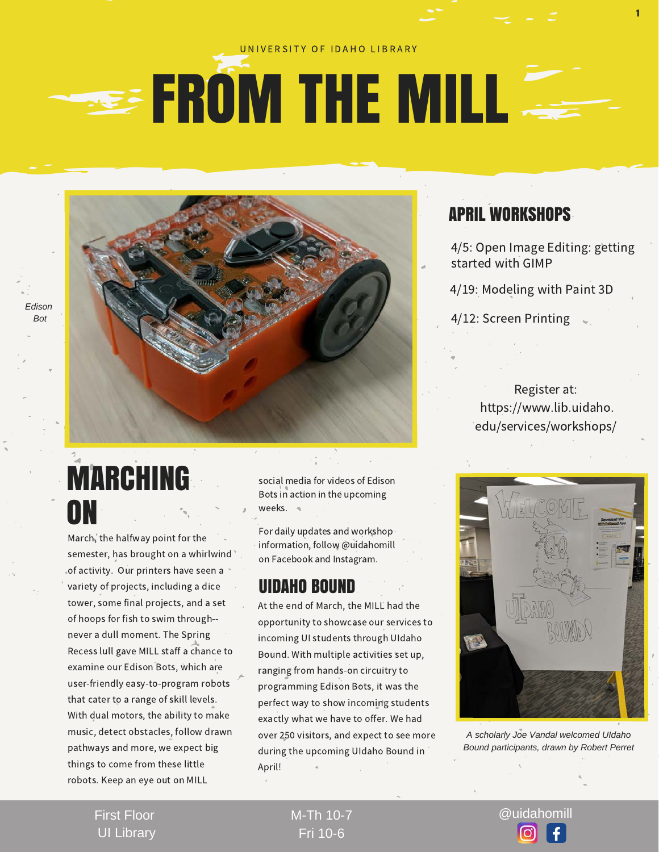#### UNIVERSITY OF IDAHO LIBRARY

## **EROM THE MILL**

*Edison Bot* 

> MARCHING ON

March, the halfway point for the semester, has brought on a whirlwind of activity. Our printers have seen a variety of projects, including a dice tower, some final projects, and a set of hoops for fish to swim through- never a dull moment. The Spring Recess lull gave MILL staff a chance to examine our Edison Bots, which are user-friendly easy-to-program robots that cater to a range of skill levels. With dual motors, the ability to make music, detect obstacles, follow drawn pathways and more, we expect big things to come from these little robots. Keep an eye out on MILL

social media for videos of Edison Bots in action in the upcoming weeks.

For daily updates and workshop information, follow @uidahomill on Facebook and Instagram.

#### UIDAHO BOUND

At the end of March, the MILL had the opportunity to showcase our services to incoming UI students through UIdaho Bound. With multiple activities set up, ranging from hands-on circuitry to programming Edison Bots, it was the perfect way to show incoming students exactly what we have to offer. We had over 250 visitors, and expect to see more during the upcoming UIdaho Bound in April!

### APRIL WORKSHOPS

4/5: Open Image Editing: getting started with GIMP

1

4/19: Modeling with Paint 3D

4/12: Screen Printing

Register at: https://www.lib.uidaho. edu/services/workshops/



*A scholarly Joe Vandal welcomed UIdaho Bound participants, drawn by Robert Perret*

First Floor UI Library Fri 10-6